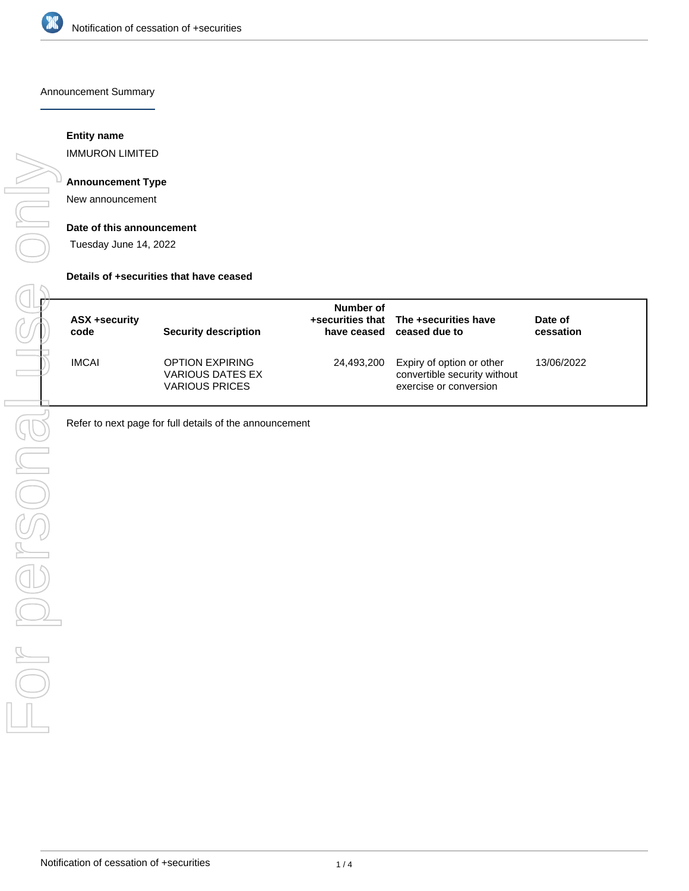

Announcement Summary

## **Entity name**

IMMURON LIMITED

# **Announcement Type**

New announcement

#### **Date of this announcement**

Tuesday June 14, 2022

#### **Details of +securities that have ceased**

| ASX +security<br>code | <b>Security description</b>                                         | Number of  | +securities that The +securities have<br>have ceased ceased due to                  | Date of<br>cessation |
|-----------------------|---------------------------------------------------------------------|------------|-------------------------------------------------------------------------------------|----------------------|
| <b>IMCAI</b>          | <b>OPTION EXPIRING</b><br>VARIOUS DATES EX<br><b>VARIOUS PRICES</b> | 24.493.200 | Expiry of option or other<br>convertible security without<br>exercise or conversion | 13/06/2022           |

Refer to next page for full details of the announcement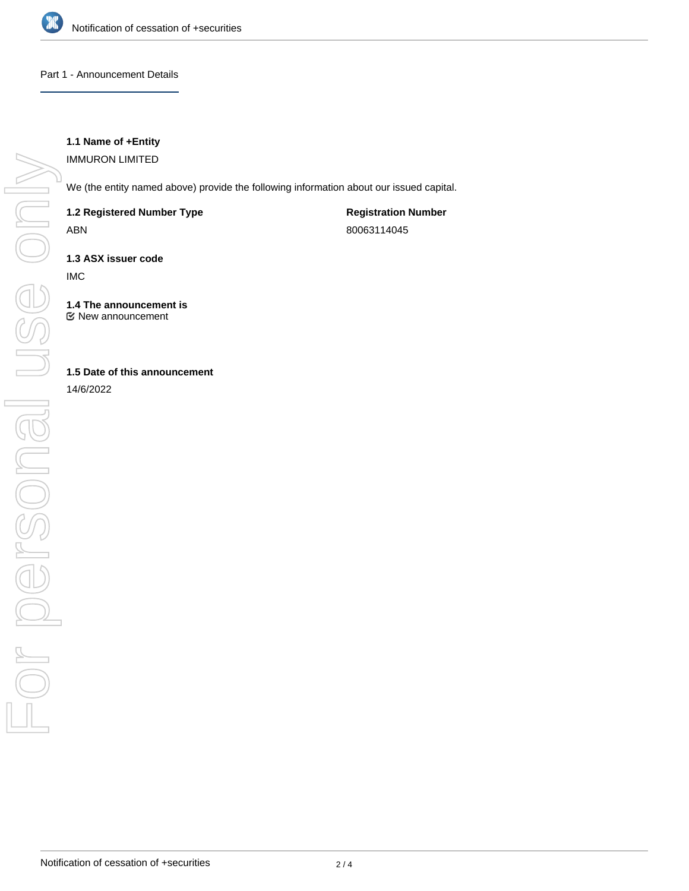

#### Part 1 - Announcement Details

# **1.1 Name of +Entity**

IMMURON LIMITED

We (the entity named above) provide the following information about our issued capital.

**1.2 Registered Number Type**

ABN

**Registration Number** 80063114045

**1.3 ASX issuer code**

IMC

**1.4 The announcement is** New announcement

## **1.5 Date of this announcement**

14/6/2022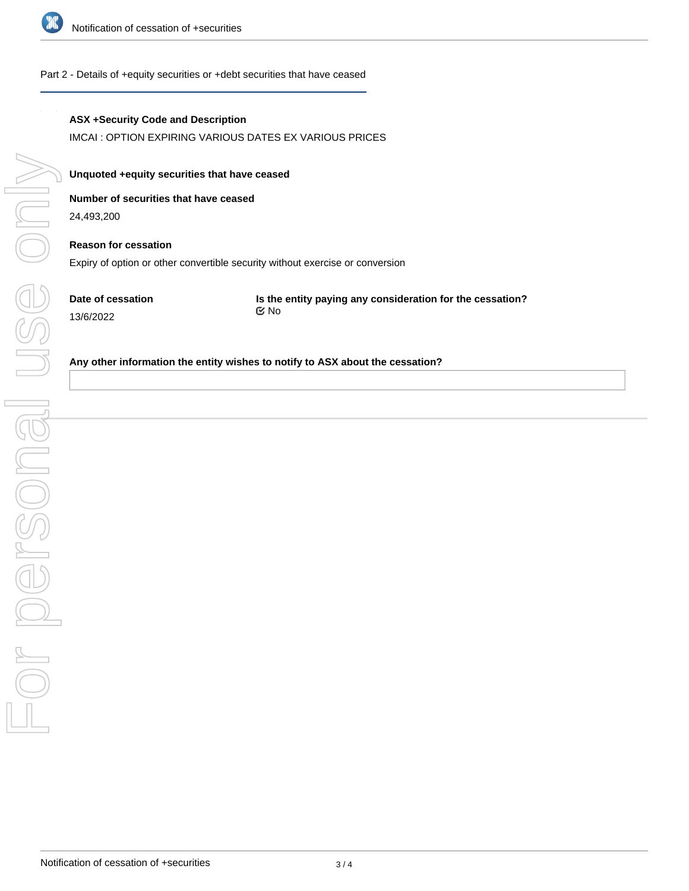

#### Part 2 - Details of +equity securities or +debt securities that have ceased

## **ASX +Security Code and Description**

IMCAI : OPTION EXPIRING VARIOUS DATES EX VARIOUS PRICES

**Unquoted +equity securities that have ceased**

# **Number of securities that have ceased**

24,493,200

# **Reason for cessation** Expiry of option or other convertible security without exercise or conversion

**Date of cessation** 13/6/2022

**Is the entity paying any consideration for the cessation?** No

#### **Any other information the entity wishes to notify to ASX about the cessation?**